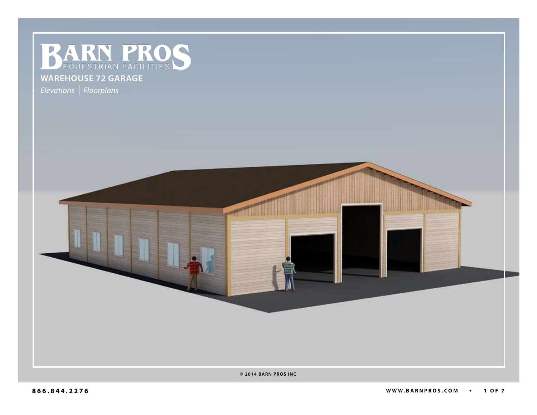**BARN PROS** 

## **warehouse 72 garage**

*Elevations | Floorplans*



**© 2014 BARN PROS INC**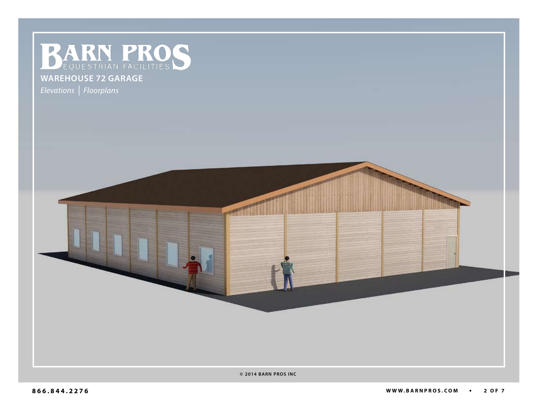

## **warehouse 72 garage**

*Elevations | Floorplans*

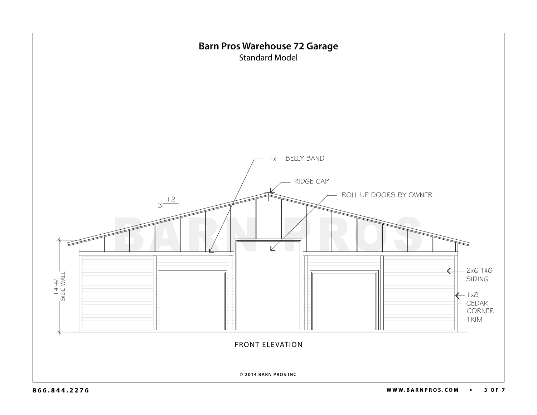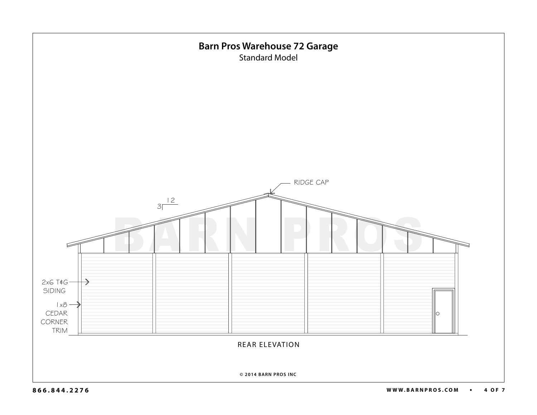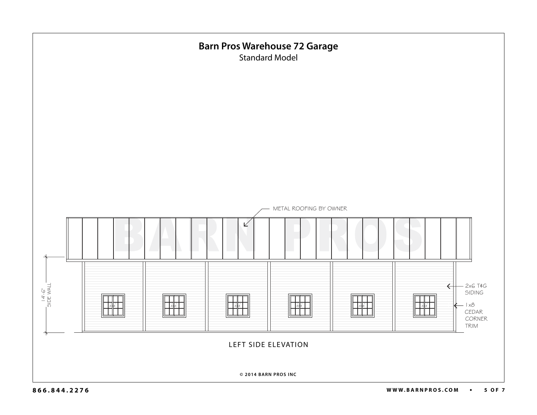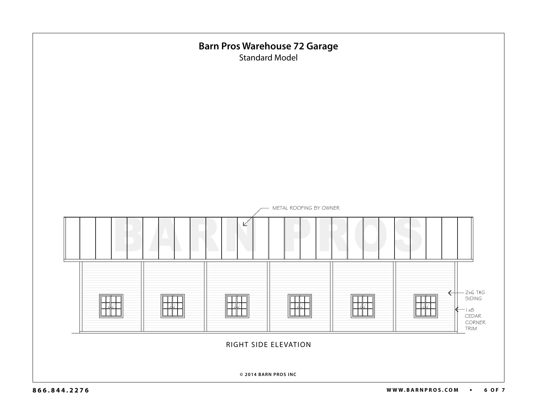